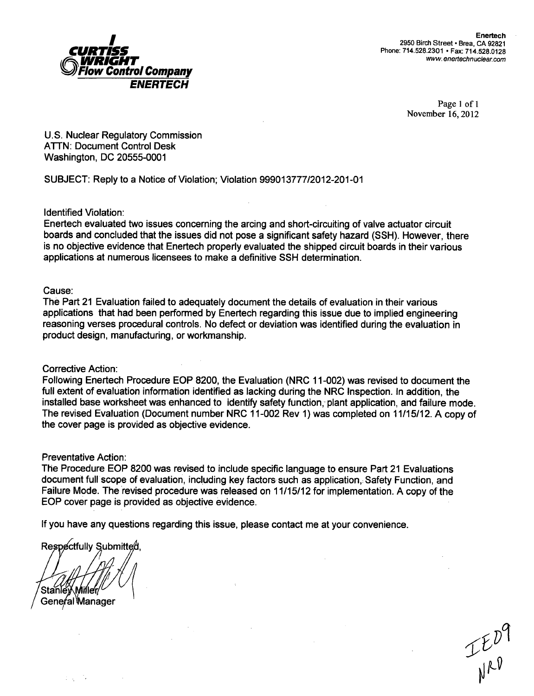

Page 1 of 1 November 16, 2012

U.S. Nuclear Regulatory Commission ATTN: Document Control Desk Washington, DC 20555-0001

SUBJECT: Reply to a Notice of Violation; Violation 999013777/2012-201-01

Identified Violation:

Enertech evaluated two issues concerning the arcing and short-circuiting of valve actuator circuit boards and concluded that the issues did not pose a significant safety hazard (SSH). However, there is no objective evidence that Enertech properly evaluated the shipped circuit boards in their various applications at numerous licensees to make a definitive SSH determination.

### Cause:

The Part 21 Evaluation failed to adequately document the details of evaluation in their various applications that had been performed by Enertech regarding this issue due to implied engineering reasoning verses procedural controls. No defect or deviation was identified during the evaluation in product design, manufacturing, or workmanship.

### Corrective Action:

Following Enertech Procedure EOP 8200, the Evaluation (NRC 11-002) was revised to document the full extent of evaluation information identified as lacking during the NRC Inspection. In addition, the installed base worksheet was enhanced to identify safety function, plant application, and failure mode. The revised Evaluation (Document number NRC 11-002 Rev 1) was completed on 11/15/12. A copy of the cover page is provided as objective evidence.

Preventative Action:

The Procedure EOP 8200 was revised to include specific language to ensure Part 21 Evaluations document full scope of evaluation, including key factors such as application,: Safety Function, and Failure Mode. The revised procedure was released on 11/15/12 for implementation. A copy of the EOP cover page is provided as objective evidence.

If you have any questions regarding this issue, please contact me at your convenience.

Respectfully Submitted

Stanle**y Miller/**<br>General Manager

-12  $1-\epsilon_1$ 

 $I_{\mu\nu}^{\nu}$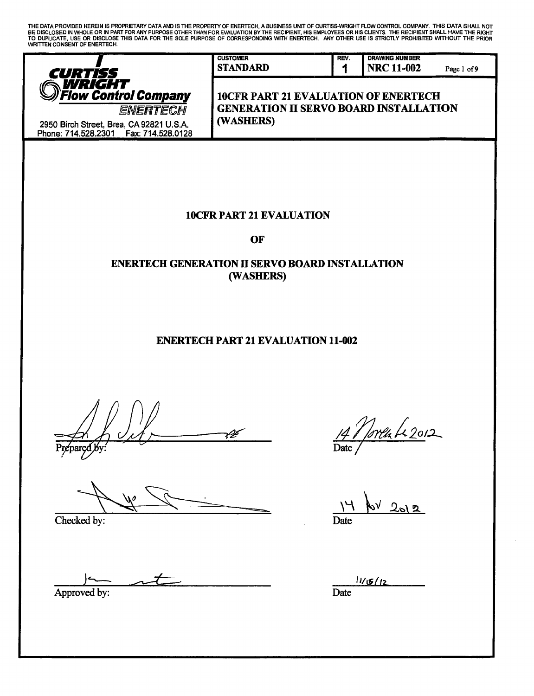THE DATA PROVIDED HEREIN IS PROPRIETARY DATA AND IS THE PROPERTY OF ENERTECH, A BUSINESS UNIT OF CUR7ISS-WRIGHT FLOW CONTROL COMPANY. THIS DATA SHALL NOT BE DISCLOSED IN WHOLE OR IN PART FOR ANY PURPOSE OTHER THAN FOR EVALUATION BY THE RECIPIENT, HIS EMPLOYEES OR HIS CLIENTS. THE RECIPIENT SHALL HAVE THE RIGHT<br>TO DUPLICATE, USE OR DISCLOSE THIS DATA FOR THE SOLE PURPOSE OF WRITTEN CONSENT OF ENERTECH.



2950 Birch Street, Brea, CA 92821 U.S.A. Phone: 714.528.2301 Fax: 714.528.0128 **1**

REV.

**10CFR PART 21 EVALUATION OF ENERTECH** *ENERTECH* GENERATION II SERVO BOARD INSTALLATION

# 10CFR PART 21 EVALUATION

OF

# ENERTECH GENERATION H SERVO BOARD INSTALLATION (WASHERS)

# ENERTECH PART 21 EVALUATION 11-002

 $\mathcal{H}$ Prepared by:

Checked by:

Approved by:

<u> Toreu Le 2012</u> *d/* Date

 $202$ Date

 $11/15/12$ **Date**